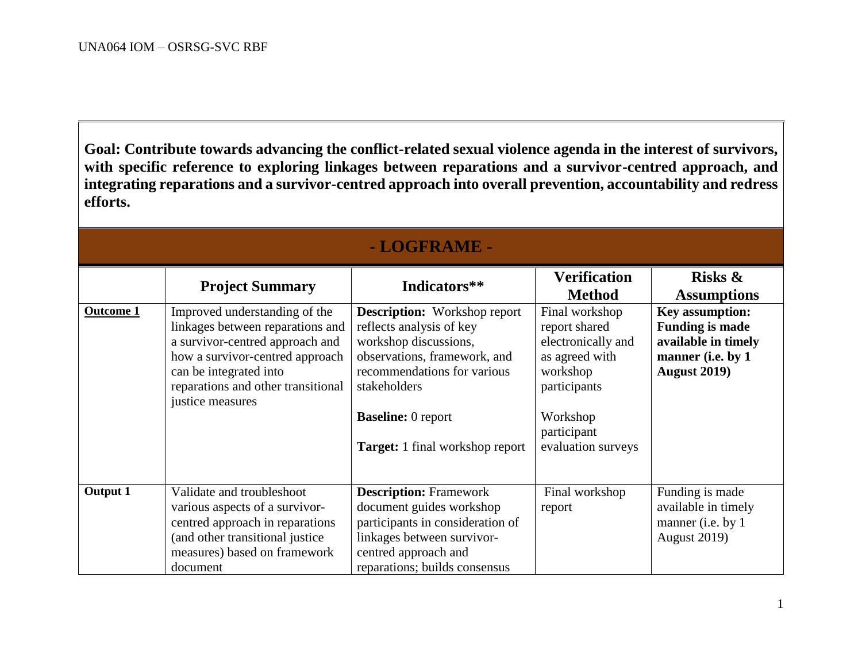**Goal: Contribute towards advancing the conflict-related sexual violence agenda in the interest of survivors, with specific reference to exploring linkages between reparations and a survivor-centred approach, and integrating reparations and a survivor-centred approach into overall prevention, accountability and redress efforts.**

| - LOGFRAME -     |                                                                                                                                                                                                                             |                                                                                                                                                                                                                                                |                                                                                                                                                      |                                                                                                                      |  |  |  |
|------------------|-----------------------------------------------------------------------------------------------------------------------------------------------------------------------------------------------------------------------------|------------------------------------------------------------------------------------------------------------------------------------------------------------------------------------------------------------------------------------------------|------------------------------------------------------------------------------------------------------------------------------------------------------|----------------------------------------------------------------------------------------------------------------------|--|--|--|
|                  | <b>Project Summary</b>                                                                                                                                                                                                      | Indicators**                                                                                                                                                                                                                                   | <b>Verification</b><br><b>Method</b>                                                                                                                 | Risks $\&$<br><b>Assumptions</b>                                                                                     |  |  |  |
| <b>Outcome 1</b> | Improved understanding of the<br>linkages between reparations and<br>a survivor-centred approach and<br>how a survivor-centred approach<br>can be integrated into<br>reparations and other transitional<br>justice measures | <b>Description:</b> Workshop report<br>reflects analysis of key<br>workshop discussions,<br>observations, framework, and<br>recommendations for various<br>stakeholders<br><b>Baseline:</b> 0 report<br><b>Target:</b> 1 final workshop report | Final workshop<br>report shared<br>electronically and<br>as agreed with<br>workshop<br>participants<br>Workshop<br>participant<br>evaluation surveys | <b>Key assumption:</b><br><b>Funding is made</b><br>available in timely<br>manner (i.e. by 1<br><b>August 2019</b> ) |  |  |  |
| <b>Output 1</b>  | Validate and troubleshoot<br>various aspects of a survivor-<br>centred approach in reparations<br>(and other transitional justice<br>measures) based on framework<br>document                                               | <b>Description: Framework</b><br>document guides workshop<br>participants in consideration of<br>linkages between survivor-<br>centred approach and<br>reparations; builds consensus                                                           | Final workshop<br>report                                                                                                                             | Funding is made<br>available in timely<br>manner (i.e. by 1<br><b>August 2019)</b>                                   |  |  |  |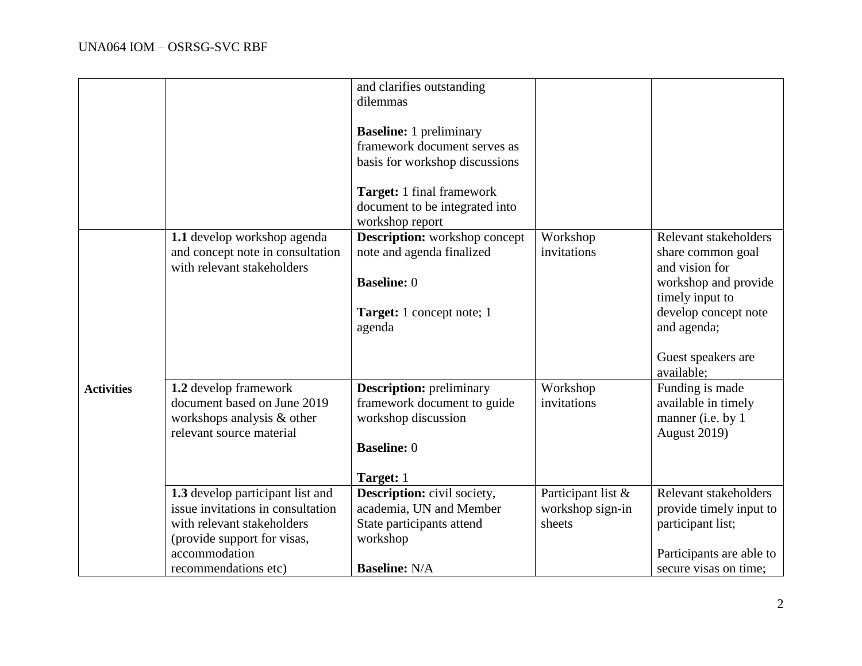|                   | 1.1 develop workshop agenda<br>and concept note in consultation<br>with relevant stakeholders                                                                               | and clarifies outstanding<br>dilemmas<br><b>Baseline:</b> 1 preliminary<br>framework document serves as<br>basis for workshop discussions<br>Target: 1 final framework<br>document to be integrated into<br>workshop report<br><b>Description:</b> workshop concept<br>note and agenda finalized<br><b>Baseline: 0</b><br><b>Target:</b> 1 concept note; 1<br>agenda | Workshop<br>invitations                          | Relevant stakeholders<br>share common goal<br>and vision for<br>workshop and provide<br>timely input to<br>develop concept note<br>and agenda;<br>Guest speakers are<br>available; |
|-------------------|-----------------------------------------------------------------------------------------------------------------------------------------------------------------------------|----------------------------------------------------------------------------------------------------------------------------------------------------------------------------------------------------------------------------------------------------------------------------------------------------------------------------------------------------------------------|--------------------------------------------------|------------------------------------------------------------------------------------------------------------------------------------------------------------------------------------|
| <b>Activities</b> | 1.2 develop framework<br>document based on June 2019<br>workshops analysis & other<br>relevant source material                                                              | <b>Description:</b> preliminary<br>framework document to guide<br>workshop discussion<br><b>Baseline: 0</b><br>Target: 1                                                                                                                                                                                                                                             | Workshop<br>invitations                          | Funding is made<br>available in timely<br>manner (i.e. by 1<br><b>August 2019)</b>                                                                                                 |
|                   | 1.3 develop participant list and<br>issue invitations in consultation<br>with relevant stakeholders<br>(provide support for visas,<br>accommodation<br>recommendations etc) | <b>Description:</b> civil society,<br>academia, UN and Member<br>State participants attend<br>workshop<br><b>Baseline: N/A</b>                                                                                                                                                                                                                                       | Participant list &<br>workshop sign-in<br>sheets | Relevant stakeholders<br>provide timely input to<br>participant list;<br>Participants are able to<br>secure visas on time;                                                         |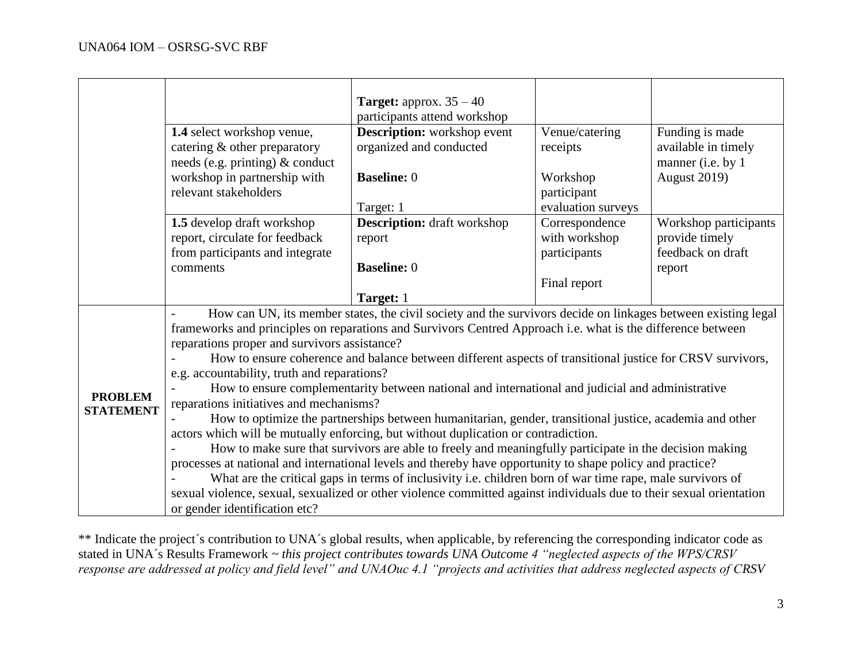|                  |                                                                                                                                                                                                                             | <b>Target:</b> approx. $35 - 40$                              |                            |                                                             |  |  |
|------------------|-----------------------------------------------------------------------------------------------------------------------------------------------------------------------------------------------------------------------------|---------------------------------------------------------------|----------------------------|-------------------------------------------------------------|--|--|
|                  |                                                                                                                                                                                                                             | participants attend workshop                                  |                            |                                                             |  |  |
|                  | 1.4 select workshop venue,<br>catering & other preparatory<br>needs (e.g. printing) & conduct                                                                                                                               | <b>Description:</b> workshop event<br>organized and conducted | Venue/catering<br>receipts | Funding is made<br>available in timely<br>manner (i.e. by 1 |  |  |
|                  | workshop in partnership with<br>relevant stakeholders                                                                                                                                                                       | <b>Baseline: 0</b>                                            | Workshop<br>participant    | <b>August 2019)</b>                                         |  |  |
|                  |                                                                                                                                                                                                                             | Target: 1                                                     | evaluation surveys         |                                                             |  |  |
|                  | 1.5 develop draft workshop                                                                                                                                                                                                  | <b>Description:</b> draft workshop                            | Correspondence             | Workshop participants                                       |  |  |
|                  | report, circulate for feedback                                                                                                                                                                                              | report                                                        | with workshop              | provide timely                                              |  |  |
|                  | from participants and integrate                                                                                                                                                                                             |                                                               | participants               | feedback on draft                                           |  |  |
|                  | comments                                                                                                                                                                                                                    | <b>Baseline: 0</b>                                            |                            | report                                                      |  |  |
|                  |                                                                                                                                                                                                                             |                                                               | Final report               |                                                             |  |  |
|                  |                                                                                                                                                                                                                             | Target: 1                                                     |                            |                                                             |  |  |
|                  | How can UN, its member states, the civil society and the survivors decide on linkages between existing legal<br>frameworks and principles on reparations and Survivors Centred Approach i.e. what is the difference between |                                                               |                            |                                                             |  |  |
|                  | reparations proper and survivors assistance?                                                                                                                                                                                |                                                               |                            |                                                             |  |  |
|                  | How to ensure coherence and balance between different aspects of transitional justice for CRSV survivors,                                                                                                                   |                                                               |                            |                                                             |  |  |
|                  | e.g. accountability, truth and reparations?                                                                                                                                                                                 |                                                               |                            |                                                             |  |  |
|                  | How to ensure complementarity between national and international and judicial and administrative                                                                                                                            |                                                               |                            |                                                             |  |  |
| <b>PROBLEM</b>   | reparations initiatives and mechanisms?                                                                                                                                                                                     |                                                               |                            |                                                             |  |  |
| <b>STATEMENT</b> | How to optimize the partnerships between humanitarian, gender, transitional justice, academia and other                                                                                                                     |                                                               |                            |                                                             |  |  |
|                  | actors which will be mutually enforcing, but without duplication or contradiction.                                                                                                                                          |                                                               |                            |                                                             |  |  |
|                  | How to make sure that survivors are able to freely and meaningfully participate in the decision making                                                                                                                      |                                                               |                            |                                                             |  |  |
|                  | processes at national and international levels and thereby have opportunity to shape policy and practice?                                                                                                                   |                                                               |                            |                                                             |  |  |
|                  | What are the critical gaps in terms of inclusivity i.e. children born of war time rape, male survivors of                                                                                                                   |                                                               |                            |                                                             |  |  |
|                  | sexual violence, sexual, sexualized or other violence committed against individuals due to their sexual orientation                                                                                                         |                                                               |                            |                                                             |  |  |
|                  | or gender identification etc?                                                                                                                                                                                               |                                                               |                            |                                                             |  |  |

\*\* Indicate the project's contribution to UNA's global results, when applicable, by referencing the corresponding indicator code as stated in UNA´s Results Framework *~ this project contributes towards UNA Outcome 4 "neglected aspects of the WPS/CRSV response are addressed at policy and field level" and UNAOuc 4.1 "projects and activities that address neglected aspects of CRSV*